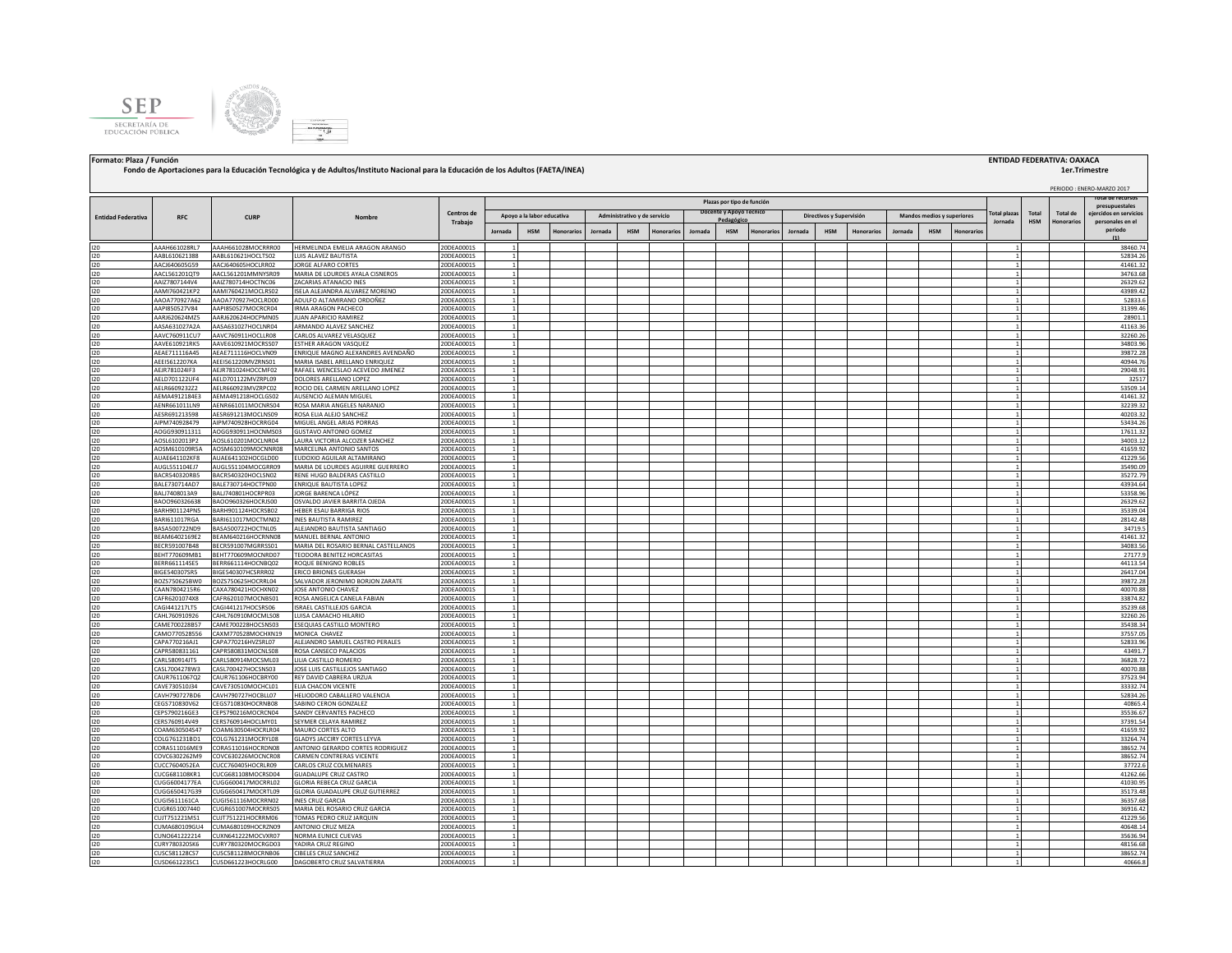



CUSD661223SC1 CUSD661223HOCRLG00 DAGOBERTO CRUZ SALVATIERRA

**Formato: Plaza / Función ENTIDAD FEDERATIVA: OAXACA**

## PERIODO : ENERO-MARZO 2017 **Jornada HSM Honorarios Jornada HSM Honorarios Jornada HSM Honorarios Jornada HSM Honorarios Jornada HSM Honorarios** I20 AAAH661028RL7 AAAH661028MOCRRR00 HERMELINDA EMELIA ARAGON ARANGO 20DEA0001S 1 1 38460.74 I20 AABL610621388 AABL610621HOCLTS02 LUIS ALAVEZ BAUTISTA 20DEA0001S 1 1 52834.26 I20 AACJ640605G59 AACJ640605HOCLRR02 JORGE ALFARO CORTES 20DEA0001S 1 1 41461.32 I20 AACL561201QT9 AACL561201MMNYSR09 MARIA DE LOURDES AYALA CISNEROS 20DEA0001S 1 1 34763.68 I20 AAIZ7807144V4 AAIZ780714HOCTNC06 ZACARIAS ATANACIO INES 20DEA0001S 1 1 26329.62 I20 AAMI760421KP2 AAMI760421MOCLRS02 ISELA ALEJANDRA ALVAREZ MORENO 20DEA0001S 1 1 43989.42 I20 AAOA770927A62 AAOA770927HOCLRD00 ADULFO ALTAMIRANO ORDOÑEZ 20DEA0001S 1 1 52833.6 I20 AAPI850527V84 AAPI850527MOCRCR04 IRMA ARAGON PACHECO 20DEA0001S 1 1 31399.46 I20 AARJ620624MZ5 AARJ620624HOCPMN05 JUAN APARICIO RAMIREZ 20DEA0001S 1 1 28901.1 I20 AASA631027A2A AASA631027HOCLNR04 ARMANDO ALAVEZ SANCHEZ 20DEA0001S 1 1 41163.36 I20 AAVC760911CU7 AAVC760911HOCLLR08 CARLOS ALVAREZ VELASQUEZ 20DEA0001S 1 1 32260.26 I20 AAVE610921RK5 AAVE610921MOCRSS07 ESTHER ARAGON VASQUEZ 20DEA0001S 1 1 34803.96 I20 AEAE711116A45 AEAE711116HOCLVN09 ENRIQUE MAGNO ALEXANDRES AVENDAÑO 20DEA0001S 1 1 39872.28 I20 AEEI5612207KA AEEI561220MVZRNS01 MARIA ISABEL ARELLANO ENRIQUEZ 20DEA0001S 1 1 40944.76 I20 AEJR781024IF3 AEJR781024HOCCMF02 RAFAEL WENCESLAO ACEVEDO JIMENEZ 20DEA0001S 1 1 29048.91 I20 AELD701122UF4 AELD701122MVZRPL09 DOLORES<code>ARELLANO</code> LOPEZ 20DEA0001S 1 2 32517 32517 32517 32517 32517 32517 I20 AELR6609232Z2 AELR660923MVZRPC02 ROCIO DEL CARMEN ARELLANO LOPEZ 20DEA0001S 1 1 53509.14 I20 AEMA4912184E3 AEMA491218HOCLGS02 AUSENCIO ALEMAN MIGUEL 20DEA0001S 1 1 41461.32 I20 AENR661011LN9 AENR661011MOCNRS04 ROSA MARIA ANGELES NARANJO 20DEA0001S 1 1 32239.32 I20 AESR691213598 AESR691213MOCLNS09 ROSA ELIA ALEJO SANCHEZ 20DEA0001S 1 1 40203.32 I20 AIPM740928479 AIPM740928HOCRRG04 MIGUELANGELARIAS PORRAS 20DEA0001S 1 1 1 1 1 1 1 1 1 1 1 1 1 53434.26 I20 AOGG930911311 AOGG930911HOCNMS03 GUSTAVO ANTONIO GOMEZ 20DEA0001S 1 1 17611.32 I20 AOSL6102013P2 AOSL610201MOCLNR04 LAURA VICTORIA ALCOZER SANCHEZ 20DEA0001S 1 1 34003.12 I20 AOSM610109R5A AOSM610109MOCNNR08 MARCELINA ANTONIO SANTOS 20DEA0001S 1 1 41659.92 I20 AUAE641102KF8 AUAE641102HOCGLD00 EUDOXIO AGUILAR ALTAMIRANO 20DEA0001S 1 1 41229.56 I20 AUGL551104EJ7 AUGL551104MOCGRR09 MARIA DE LOURDES AGUIRRE GUERRERO 20DEA0001S 1 1 35490.09 I20 BACR540320RB5 BACR540320HOCLSN02 RENE HUGO BALDERAS CASTILLO 20DEA0001S 1 1 35272.79 I20 BALE730714AD7 |BALE730714HOCTPN00 |ENRIQUE BAUTISTA LOPEZ 20DEA0001S | 1 | | | | | | | | | | | | | | | | 43934.64 I20 BALJ7408013A9 BALJ740801HOCRPR03 JORGE BARENCA LÓPEZ 20DEA0001S | 1 | | | | | | | | | | | | | | 53358.96 I20 BAOO960326638 BAOO960326HOCRJS00 OSVALDO JAVIER BARRITA OJEDA 20DEA0001S 1 1 26329.62 I20 BARH901124PN5 BARH901124HOCRSB02 HEBER ESAU BARRIGA RIOS 200EA0001S 20DEA0001S 1 3 35339.04 35339.04 3 35339.04 I20 BARI611017RGA BARI611017MOCTMN02 INES BAUTISTA RAMIREZ 200EA0001S | 1 | | | | | | | | | | | | | | | | 2814 I20 BASA500722ND9 BASA500722HOCTNL05 ALEJANDRO BAUTISTA SANTIAGO 20DEA0001S 1 1 34719.5 I20 BEAM6402169E2 BEAM640216HOCRNN08 MANUEL BERNAL ANTONIO 20DEA0001S 1 1 41461.32 I20 BECR59107MB48 BECR59107 MARIA DEL ROSARIO BERNAL CASTELLANOS<br>I20 BECR59107MB48 BECR59107MGRBSS01 MARIA DEL ROSARIO BERNAL CASTELLANOS 2006A0001S 1 1 34083.56756 1 1 34083.<br>I20 BECRF7706000481 BECR591007WDAOCONDADO TXOL I20 BEHT770609MB1 BEHT770609MOCNRD07 TEODORA BENITEZ HORCASITAS 20DEA0001S 1 1 27177.9 I20 BERR661114SE5 BERR661114HOCNBQ02 ROQUEBENIGNO ROBLES 20DEA0001S 1 1 1 1 1 1 1 1 1 1 1 1 1 1 44113.54 I20 BIGE540307SR5 BIGE540307HCSRRR02 ERICO BRIONES GUERASH 20DEA0001S 1 1 26417.04 I20 BOZS750625BW0 BOZS750625HOCRRL04 SALVADOR JERONIMO BORJON ZARATE 20DEA0001S 1 1 39872.28 I20 CAAN7804215R6 CAXA780421HOCHXN02 JOSE ANTONIO CHAVEZ 20DEA0001S 1 1 40070.88 I20 CAFR6201074X8 CAFR620107MOCNBS01 ROSA ANGELICA CANELA FABIAN 20DEA0001S 1 1 33874.82 I20 CAGI441217LT5 CAGI441217HOCSRS06 ISRAEL CASTILLEJOS GARCIA 20DEA0001S 1 1 35239.68 I20 CAHL760910926 CAHL760910MOCMLS08 LUISA CAMACHO HILARIO 20DEA0001S 1 1 32260.26 I20 CAME700228B57 CAME700228HOCSNS03 ESEQUIAS CASTILLO MONTERO 20DEA0001S 1 1 35438.34 I20 CAMO770528556 CAXM770528MOCHXN19 MONICA CHAVEZ 20DEA0001S 1 1 37557.05 I20 CAPA770216AJ1 CAPA770216HVZSRL07 ALEJANDRO SAMUEL CASTRO PERALES 20DEA0001S 1 1 52833.96 I20 CAPR580831161 CAPR580831MOCNLS08 ROSA CANSECO PALACIOS 20DEA0001S 1 1 43491.7 I20 CARL580914JT5 (CARL580914MOCSML03 LILIACASTILLO ROMERO 200EA0001S | 1 | | | | | | | | | | | | | 36828.72 I20 CASL7004278W3 CASL700427HOCSNS03 JOSE LUIS CASTILLEJOS SANTIAGO 20DEA0001S 1 1 40070.88 I20 CAUR7611067Q2 CAUR761106HOCBRY00 REY DAVID CABRERA URZUA 20DEA0001S 1 1 37523.94 I20 CAVE730510J34 CAVE730510MOCHCL01 ELIA CHACON VICENTE 20DEA0001S 1 1 33332.74 I20 CAVH790727BD6 (CAVH790727HOCBLL07 HELIODORO.CABALLERO VALENCIA 20DEA0001S | 1 | | | | | | | | | | | | | | | I20 CEGS710830V62 CEGS710830HOCRNB08 SABINO CERON GONZALEZ 20DEA0001S 20DEA0001S 1 20 1 1 200 200 200 200 200 20 I20 CEPS790216GE3 CEPS790216MOCRCN04 SANDY CERVANTES PACHECO 20DEA0001S 1 1 35536.67 CERS760914V49 (CERS760914NOCLMV01 \ESEYMERCELAYA RAMIREZ 200EA0001S 1 1 37391.54<br>COAM690504449 (COAM690504HOCRLR04 |MAURO CORTES ALTO 200EA0001S 1 200EA0001S 1 31 3741.55.92 I20 COAM630504S47 COAM630504HOCRLR04 MAURO CORTES ALTO 20DEA0001S 1 1 41659.92 I20 COLG761231BD1 COLG761231MOCRYL08 GLADYS JACCIRY CORTES LEYVA 20DEA0001S 1 1 33264.74 I20 CORA511016ME9 CORA511016HOCRDN08 ANTONIO GERARDO CORTES RODRIGUEZ 20DEA0001S 1 1 38652.74 I20 COVC6302262M9 COVC630226MOCNCR08 CARMEN CONTRERAS VICENTE 20DEA0001S 1 1 38652.74 CUCC7604052EA CUCC760405HOCRLR09 CARLOS CRUZ COLMENARES 200EA00001S 1 1 37722.6 COLOMENCE COLOMENCE COLOMENCE C<br>CUCC681108KR1 CUCC6681108MOCRSONA GUADAUUPFCRUZ CASTRO 200EA00001S 1 1 37722.6 CRUZ COLOMENCE COLOMENCE COLOM I20 CUCG681108KR1 CUCG681108MOCRSD04 GUADALUPE CRUZ CASTRO 20DEA0001S 1 1 41262.66 I20 CUGG6004177EA CUGG600417MOCRRL02 GLORIA REBECA CRUZ GARCIA 20DEA0001S 1 1 41030.95 NUGG650417G39 CUGG650417MOCRTL09 GLORIA GUADALUPE RUZ GUDEANOODS 1 1<br>CUGIS611161CA CUGIS61116MOCRRIN02 INESCRUZ GARCIA GUADALUPE 2005A0001S 1 1 3517.68 CUGI5611161CA CUGI561116MOCRRN02 INES CRUZ GARCIA 200EA0001S 1<br>CUGR651007440 CUGR651007MOCRRS05 MARIADELROSARIO CRUZ GARCIA 200EA0001S 1 1 1 36916.4. I20 CUGR651007440 CUGR651007MOCRRS05 MARIA DEL ROSARIO CRUZ GARCIA 20DEA0001S 1 1 36916.42 I20 CUJT751221MS1 CUJT751221HOCRRM06 TOMAS PEDRO CRUZ JARQUIN 20DEA0001S 1 1 41229.56 I20 CUMA680109GU4 CUMA680109HOCRZN09 ANTONIO CRUZ MEZA 20DEA0001S 1 1 40648.14 I20 CUNO641222214 CUXN641222MOCVXR07 NORMA EUNICE CUEVAS 20DEA0001S 1 1 35636.94 LURY780320SK6 CURY780320MOCRGD03 YADIRA CRUZ REGINO 200EA0001S 1<br>INSCS81128CS7 CUSCS81128MOCRNB06 CIBELES CRUZ SANCHEZ 20DEA0001S 1 20DEA0001S 1 200EA0001S 1 200EA0001S 1 38652.7 LUSCS81128MOCRNB06 CIBELES CRUZ SANCHEZ 20DEA0001S 1<br>CUSD661223HOCRLG00 DAGOBERTO CRUZ SALVATIERRA 20DEA0001S 1 1 38652.74 **1er.Trimestre Total plazas Jornada Total HSM Total de Honorarios Total de recursos presupuestales ejercidos en servicios personales en el periodo (1) Fondo de Aportaciones para la Educación Tecnológica y de Adultos/Instituto Nacional para la Educación de los Adultos (FAETA/INEA) Entidad Federativa RFC CURP Nombre Centros de Trabajo Plazas por tipo de función Apoyo a la labor educativa Administrativo y de servicio Docente y Apoyo Té Pedagógico Pedagógico <b>Circuitos Pedagógico** *Supervisión* **Mandos medios y superiores**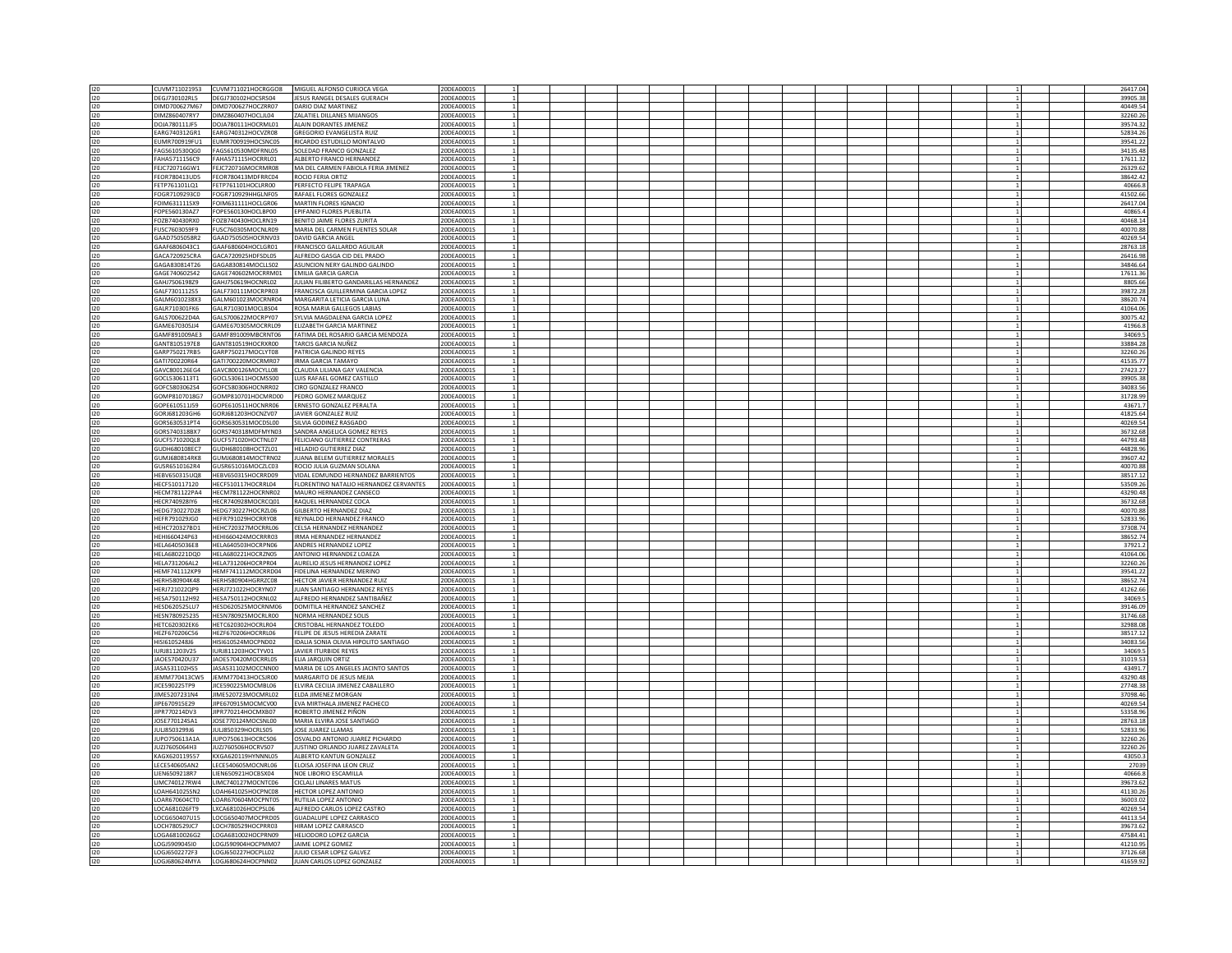| 120     | CUVM711021953        | CUVM711021HOCRGGO8               | MIGUEL ALFONSO CURIOCA VEGA               | 20DEA0001S |                 |  |  |  |  |                | 26417.04 |
|---------|----------------------|----------------------------------|-------------------------------------------|------------|-----------------|--|--|--|--|----------------|----------|
| 120     | DEGJ730102RL5        | DEGJ730102HOCSRS04               | JESUS RANGEL DESALES GUERACH              | 20DEA0001S |                 |  |  |  |  |                | 39905.38 |
| 120     | DIMD700627M67        | DIMD700627HOCZRR07               | DARIO DIAZ MARTINEZ                       | 20DEA0001S |                 |  |  |  |  |                | 40449.54 |
|         |                      |                                  |                                           |            |                 |  |  |  |  |                |          |
| 120     | DIMZ860407RY7        | DIMZ860407HOCLIL04               | ZALATIEL DILLANES MIJANGOS                | 20DEA0001S |                 |  |  |  |  |                | 32260.26 |
| 120     | DOJA780111JF5        | DOJA780111HOCRML01               | ALAIN DORANTES JIMENEZ                    | 20DEA0001S |                 |  |  |  |  |                | 39574.32 |
| 120     | EARG740312GR1        | EARG740312HOCVZR08               | <b>GREGORIO EVANGELISTA RUIZ</b>          | 20DEA0001S |                 |  |  |  |  |                | 52834.26 |
| 120     | EUMR700919FU1        | EUMR700919HOCSNC05               | RICARDO ESTUDILLO MONTALVO                | 20DEA0001S |                 |  |  |  |  |                | 39541.22 |
| $120 -$ | EAGS6105300G0        | FAGS610530MDERNL05               | SOLEDAD FRANCO GONZALEZ                   | 20DEA0001S | 11              |  |  |  |  | -1 I           | 34135.48 |
|         |                      |                                  |                                           |            |                 |  |  |  |  |                |          |
| 120     | FAHA5711156C9        | FAHA571115HOCRRL01               | ALBERTO FRANCO HERNANDEZ                  | 20DEA0001S | $\mathbf{1}$    |  |  |  |  | 1 <sup>1</sup> | 17611.32 |
| 120     | FEJC720716GW1        | FEJC720716MOCRMR08               | MA DEL CARMEN FABIOLA FERIA JIMENEZ       | 20DEA0001S |                 |  |  |  |  |                | 26329.62 |
| 120     | FEOR780413UD5        | FFOR780413MDFRRC04               | ROCIO FERIA ORTIZ                         | 20DEA0001S |                 |  |  |  |  |                | 38642.42 |
| 120     | FETP761101LQ1        | FETP761101HOCLRR00               | PERFECTO FELIPE TRAPAGA                   | 20DEA0001S | $\mathbf{1}$    |  |  |  |  | 1 <sup>1</sup> | 40666.8  |
|         | FOGR7109293C0        | FOGR710929HHGLNF05               | RAFAEL FLORES GONZALEZ                    | 20DEA0001S |                 |  |  |  |  |                | 41502.66 |
| 120     |                      |                                  |                                           |            |                 |  |  |  |  |                |          |
| 120     | FOIM631111SX9        | <b>FOIM631111HOCLGR06</b>        | MARTIN FLORES IGNACIO                     | 20DEA0001S | $\overline{1}$  |  |  |  |  |                | 26417.04 |
| 120     | FOPE560130AZ7        | FOPE560130HOCLBP00               | EPIFANIO FLORES PUEBLITA                  | 20DEA0001S | $\mathbf{1}$    |  |  |  |  |                | 40865.4  |
| 120     | FOZB740430RX0        | FOZB740430HOCLRN19               | BENITO JAIME FLORES ZURITA                | 20DEA0001S |                 |  |  |  |  |                | 40468.14 |
| 120     | FUSC7603059F9        | FUSC760305MOCNLR09               | MARIA DEL CARMEN FUENTES SOLAR            | 20DEA0001S | $\overline{1}$  |  |  |  |  |                | 40070.88 |
|         |                      |                                  |                                           |            |                 |  |  |  |  |                |          |
| 120     | GAAD7505058R2        | GAAD750505HOCRNV03               | DAVID GARCIA ANGEL                        | 20DEA0001S |                 |  |  |  |  |                | 40269.54 |
| 120     | GAAF6806043C1        | GAAF680604HOCLGR01               | FRANCISCO GALLARDO AGUILAR                | 20DEA0001S |                 |  |  |  |  |                | 28763.18 |
| 120     | GACA720925CRA        | GACA720925HDFSDL05               | ALFREDO GASGA CID DEL PRADO               | 20DEA0001S |                 |  |  |  |  |                | 26416.98 |
| 120     | GAGA830814T26        | GAGA830814MOCLLS02               | ASUNCION NERY GALINDO GALINDO             | 20DEA0001S |                 |  |  |  |  |                | 34846.64 |
| 120     | GAGE740602S42        | GAGE740602MOCRRM01               | <b>EMILIA GARCIA GARCIA</b>               | 20DEA0001S |                 |  |  |  |  |                | 17611.36 |
|         |                      |                                  |                                           |            |                 |  |  |  |  |                |          |
| 120     | GAHJ7506198Z9        | GAHJ750619HOCNRL02               | JULIAN FILIBERTO GANDARILLAS HERNANDEZ    | 20DEA0001S |                 |  |  |  |  |                | 8805.66  |
| 120     | GALF7301112S5        | GALF730111MOCRPR03               | FRANCISCA GUILLERMINA GARCIA LOPEZ        | 20DEA0001S |                 |  |  |  |  |                | 39872.28 |
| 120     | GALM6010238X3        | GALM601023MOCRNR04               | MARGARITA LETICIA GARCIA LUNA             | 20DEA0001S |                 |  |  |  |  |                | 38620.74 |
| 120     | GALR710301FK6        | GALR710301MOCLBS04               | ROSA MARIA GALLEGOS LABIAS                | 20DEA0001S |                 |  |  |  |  |                | 41064.06 |
| 120     | GALS700622D4A        | GALS700622MOCRPY07               | SYLVIA MAGDALENA GARCIA LOPEZ             | 20DEA0001S |                 |  |  |  |  |                | 30075.42 |
|         | GAME670305JJ4        | GAME670305MOCRRL09               | ELIZABETH GARCIA MARTINEZ                 | 20DEA0001S |                 |  |  |  |  |                | 41966.8  |
| 120     |                      |                                  |                                           |            |                 |  |  |  |  |                |          |
| 120     | GAMF891009AE3        | GAMF891009MBCRNT06               | FATIMA DEL ROSARIO GARCIA MENDOZA         | 20DEA0001S |                 |  |  |  |  |                | 34069.5  |
| 120     | GANT8105197E8        | GANT810519HOCRXR00               | TARCIS GARCIA NUÑEZ                       | 20DEA0001S | $\mathbf{1}$    |  |  |  |  | $\mathbf{1}$   | 33884.28 |
| 120     | GARP750217RB5        | GARP750217MOCLYT08               | PATRICIA GALINDO REYES                    | 20DEA0001S | <sup>1</sup>    |  |  |  |  | $\mathbf{1}$   | 32260.26 |
| 120     | GATI700220R64        | GATI700220MOCRMR07               | <b>IRMA GARCIA TAMAYO</b>                 | 20DEA0001S |                 |  |  |  |  |                | 41535.77 |
|         |                      | GAVC800126MOCYLL08               | CLAUDIA LILIANA GAY VALENCIA              | 20DEA0001S | $\mathbf{1}$    |  |  |  |  | $\mathbf{1}$   | 27423.27 |
| 120     | GAVC800126EG4        |                                  |                                           |            |                 |  |  |  |  |                |          |
| 120     | GOCL5306113T1        | GOCL530611HOCMSS00               | LUIS RAFAEL GOMEZ CASTILLO                | 20DEA0001S | <sup>1</sup>    |  |  |  |  | $\mathbf{1}$   | 39905.38 |
| 120     | GOFC5803062S4        | GOFC580306HOCNRR02               | CIRO GONZALEZ FRANCO                      | 20DEA0001S |                 |  |  |  |  |                | 34083.56 |
| 120     | GOMP8107018G7        | GOMP810701HOCMRD00               | PEDRO GOMEZ MARQUEZ                       | 20DEA0001S | $\mathbf{1}$    |  |  |  |  | $\mathbf{1}$   | 31728.99 |
| 120     | GOPE610511J59        | GOPE610511HOCNRR06               | ERNESTO GONZALEZ PERALTA                  | 20DEA0001S | $\overline{1}$  |  |  |  |  |                | 43671.7  |
| 120     | GORJ681203GH6        | GORJ681203HOCNZV07               | JAVIER GONZALEZ RUIZ                      | 20DEA0001S |                 |  |  |  |  |                | 41825.64 |
|         |                      |                                  |                                           |            |                 |  |  |  |  |                |          |
| 120     | GORS630531PT4        | GORS630531MOCDSL00               | SILVIA GODINEZ RASGADO                    | 20DEA0001S | 1               |  |  |  |  | 1 <sup>1</sup> | 40269.54 |
| 120     | GORS740318BX7        | GORS740318MDFMYN03               | SANDRA ANGELICA GOMEZ REYES               | 20DEA0001S | $\overline{1}$  |  |  |  |  | $\mathbf{1}$   | 36732.68 |
| 120     | GUCF571020QL8        | GUCF571020HOCTNL07               | FELICIANO GUTIERREZ CONTRERAS             | 20DEA0001S |                 |  |  |  |  |                | 44793.48 |
| 120     | GUDH680108EC7        | GUDH680108HOCTZL01               | HELADIO GUTIERREZ DIAZ                    | 20DEA0001S |                 |  |  |  |  |                | 44828.96 |
|         |                      |                                  |                                           |            |                 |  |  |  |  |                |          |
| 120     | GUMJ680814RK8        | GUMJ680814MOCTRN02               | JUANA BELEM GUTIERREZ MORALES             | 20DEA0001S |                 |  |  |  |  |                | 39607.42 |
| 120     | GUSR6510162R4        | GUSR651016MOCZLC03               | ROCIO JULIA GUZMAN SOLANA                 | 20DEA0001S |                 |  |  |  |  |                | 40070.88 |
| 120     | HEBV650315UQ8        | HEBV650315HOCRRD09               | VIDAL EDMUNDO HERNANDEZ BARRIENTOS        | 20DEA0001S |                 |  |  |  |  |                | 38517.12 |
| 120     | HECF510117120        | HECF510117HOCRRL04               | FLORENTINO NATALIO HERNANDEZ CERVANTES    | 20DEA0001S |                 |  |  |  |  |                | 53509.26 |
| 120     | <b>HECM781122PA4</b> | HECM781122HOCRNR02               | MAURO HERNANDEZ CANSECO                   | 20DEA0001S |                 |  |  |  |  |                | 43290.48 |
|         |                      |                                  |                                           |            |                 |  |  |  |  |                |          |
| 120     | HECR740928IY6        | HECR740928MOCRCQ01               | RAQUEL HERNANDEZ COCA                     | 20DEA0001S |                 |  |  |  |  |                | 36732.68 |
| 120     | HEDG730227D28        | HEDG730227HOCRZL06               | GILBERTO HERNANDEZ DIAZ                   | 20DEA0001S |                 |  |  |  |  |                | 40070.88 |
| 120     | HEFR791029JG0        | HEFR791029HOCRRY08               | REYNALDO HERNANDEZ FRANCO                 | 20DEA0001S |                 |  |  |  |  |                | 52833.96 |
| 120     | HEHC720327BD1        | HEHC720327MOCRRL06               | CELSA HERNANDEZ HERNANDEZ                 | 20DEA0001S | $\overline{1}$  |  |  |  |  |                | 37308.74 |
| 120     | HEHI660424P63        | HEHI660424MOCRRR03               | <b>IRMA HERNANDEZ HERNANDEZ</b>           | 20DEA0001S | 1               |  |  |  |  |                | 38652.74 |
|         |                      |                                  |                                           |            |                 |  |  |  |  |                |          |
| 120     | HELA6405036E8        | HELA640503HOCRPN06               | ANDRES HERNANDEZ LOPEZ                    | 20DEA0001S |                 |  |  |  |  | 1              | 37921.2  |
| 120     | HELA680221DQ0        | HELA680221HOCRZN05               | ANTONIO HERNANDEZ LOAEZA                  | 20DEA0001S |                 |  |  |  |  |                | 41064.06 |
| 120     | HELA731206AL2        | HELA731206HOCRPR04               | AURELIO JESUS HERNANDEZ LOPEZ             | 20DEA0001S |                 |  |  |  |  |                | 32260.26 |
| 120     | <b>HEMF741112KP9</b> | HEMF741112MOCRRD04               | FIDELINA HERNANDEZ MERINO                 | 20DEA0001S |                 |  |  |  |  | $\mathbf{1}$   | 39541.22 |
| 120     | HERH580904K48        | HERH580904HGRRZC08               | HECTOR JAVIER HERNANDEZ RUIZ              | 20DEA0001S |                 |  |  |  |  |                | 38652.74 |
|         | HERJ721022OP9        |                                  |                                           |            |                 |  |  |  |  |                | 41262.66 |
| 120     |                      | HERJ721022HOCRYN07               | JUAN SANTIAGO HERNANDEZ REYES             | 20DEA0001S |                 |  |  |  |  |                |          |
| 120     | HFSA750112H92        | HESA750112HOCRNL02               | ALEREDO HERNANDEZ SANTIBAÑEZ              | 20DEA0001S | $\overline{1}$  |  |  |  |  | 11             | 34069.5  |
| 120     | HESD620525LU7        | HESD620525MOCRNM06               | DOMITILA HERNANDEZ SANCHEZ                | 20DEA0001S | $\overline{1}$  |  |  |  |  |                | 39146.09 |
| 120     | HESN780925235        | HESN780925MOCRLR00               | NORMA HERNANDEZ SOLIS                     | 20DEA0001S |                 |  |  |  |  |                | 31746.68 |
| $120 -$ | <b>HFTC620302FK6</b> | HETC620302HOCRLR04               | CRISTOBAL HERNANDEZ TOLEDO                | 20DEA0001S | $\mathbf{1}$    |  |  |  |  | 11             | 32988.08 |
| 120     | HEZF670206C56        | HEZF670206HOCRRL06               | FELIPE DE JESUS HEREDIA ZARATE            | 20DEA0001S |                 |  |  |  |  | 1 <sup>1</sup> | 38517.12 |
|         |                      |                                  |                                           |            |                 |  |  |  |  |                |          |
| 120     | HISI6105248J6        | HISI610524MOCPND02               | IDALIA SONIA OLIVIA HIPOLITO SANTIAGO     | 20DEA0001S |                 |  |  |  |  |                | 34083.56 |
| 120     | IURJ811203V25        | IURJ811203HOCTYV01               | JAVIER ITURBIDE REYES                     | 20DEA0001S |                 |  |  |  |  |                | 34069.5  |
| 120     | <b>JAOE570420U37</b> | JAOE570420MOCRRL05               | ELIA JARQUIN ORTIZ                        | 20DEA0001S |                 |  |  |  |  |                | 31019.53 |
| 120     | JASA531102HS5        | JASA531102MOCCNN00               | MARIA DE LOS ANGELES JACINTO SANTOS       | 20DEA0001S |                 |  |  |  |  |                | 43491.7  |
| 120     |                      | JEMM770413CW5 JEMM770413HOCSJR00 | MARGARITO DE JESUS MEJIA                  | 20DEA0001S |                 |  |  |  |  |                | 43290.48 |
|         |                      |                                  |                                           |            |                 |  |  |  |  |                |          |
| 120     | JICE590225TP9        | JICE590225MOCMBL06               | ELVIRA CECILIA JIMENEZ CABALLERO          | 20DEA0001S |                 |  |  |  |  |                | 27748.38 |
| 120     | IIMF5207231N4        | IIME520723MOCMRL02               | FLDA IIMENEZ MORGAN                       | 20DEA0001S |                 |  |  |  |  |                | 37098.46 |
| 120     | JIPE670915E29        | JIPE670915MOCMCV00               | EVA MIRTHALA JIMENEZ PACHECO              | 20DEA0001S |                 |  |  |  |  |                | 40269.54 |
| 120     | JIPR770214DV3        | JIPR770214HOCMXB07               | ROBERTO JIMENEZ PIÑON                     | 20DEA0001S |                 |  |  |  |  |                | 53358.96 |
| 120     | JOSE770124SA1        | JOSE770124MOCSNL00               | MARIA ELVIRA JOSE SANTIAGO                | 20DEA0001S |                 |  |  |  |  |                | 28763.18 |
| 120     | JULJ8503299J6        | JULJ850329HOCRLS05               | JOSE JUAREZ LLAMAS                        | 20DEA0001S |                 |  |  |  |  |                | 52833.96 |
|         |                      |                                  |                                           |            |                 |  |  |  |  |                |          |
| 120     | UPO750613A1A         | JUPO750613HOCRCS06               | OSVALDO ANTONIO JUAREZ PICHARDO           | 20DEA0001S |                 |  |  |  |  |                | 32260.26 |
| 120     | IU717605064H3        | IUZI760506HOCRVS07               | <b>ILISTINO ORI ANDO ILIAREZ ZAVALETA</b> | 20DEA0001S | $\overline{1}$  |  |  |  |  | 1 <sup>1</sup> | 32260.26 |
| 120     | KAGX620119557        | KXGA620119HYNNNL05               | ALBERTO KANTUN GONZALEZ                   | 20DEA0001S | $\mathbf{1}$    |  |  |  |  | 1 <sup>1</sup> | 43050.3  |
| 120     | LECE540605AN2        | LECE540605MOCNRL06               | ELOISA JOSEFINA LEON CRUZ                 | 20DEA0001S |                 |  |  |  |  |                | 27039    |
| 120     | LIEN6509218R7        | LIEN650921HOCBSX04               | NOF LIBORIO ESCAMILLA                     | 20DEA0001S | 11              |  |  |  |  | 1 <sup>1</sup> | 40666.8  |
|         |                      |                                  |                                           |            |                 |  |  |  |  |                |          |
| 120     | LIMC740127RW4        | LIMC740127MOCNTC06               | CICLALI LINARES MATUS                     | 20DEA0001S | 1               |  |  |  |  | 1              | 39673.62 |
| 120     | LOAH641025SN2        | LOAH641025HOCPNC08               | <b>HECTOR LOPEZ ANTONIO</b>               | 20DEA0001S |                 |  |  |  |  |                | 41130.26 |
| 120     | LOAR670604CT0        | LOAR670604MOCPNT05               | <b>RUTILIA LOPEZ ANTONIO</b>              | 20DEA0001S | $\mathbf{1}$    |  |  |  |  |                | 36003.02 |
| 120     | LOCA681026FT9        | LXCA681026HOCPSL06               | ALFREDO CARLOS LOPEZ CASTRO               | 20DEA0001S | $1\overline{ }$ |  |  |  |  | 1              | 40269.54 |
| 120     | LOCG650407U15        | LOCG650407MOCPRD05               | <b>GUADALUPE LOPEZ CARRASCO</b>           | 20DEA0001S |                 |  |  |  |  | -1.            | 44113.54 |
|         |                      |                                  |                                           |            |                 |  |  |  |  |                |          |
| 120     | LOCH780529JC7        | LOCH780529HOCPRR03               | HIRAM LOPEZ CARRASCO                      | 20DEA0001S |                 |  |  |  |  |                | 39673.62 |
| 120     | LOGA6810026G2        | LOGA681002HOCPRN09               | HELIODORO LOPEZ GARCIA                    | 20DEA0001S |                 |  |  |  |  |                | 47584.41 |
| 120     | 061590904510         | LOGI590904HOCPMM07               | IAIME LOPEZ GOMEZ                         | 20DEA0001S |                 |  |  |  |  |                | 41210.95 |
| 120     | LOGJ6502272F3        | LOGJ650227HOCPLL02               | JULIO CESAR LOPEZ GALVEZ                  | 20DEA0001S |                 |  |  |  |  |                | 37126.68 |
|         | OG I680624MYA        | LOGI680624HOCPNN02               | <b>ILIAN CARLOS LOPEZ GONZALE</b>         | 2005400015 |                 |  |  |  |  |                | 4165992  |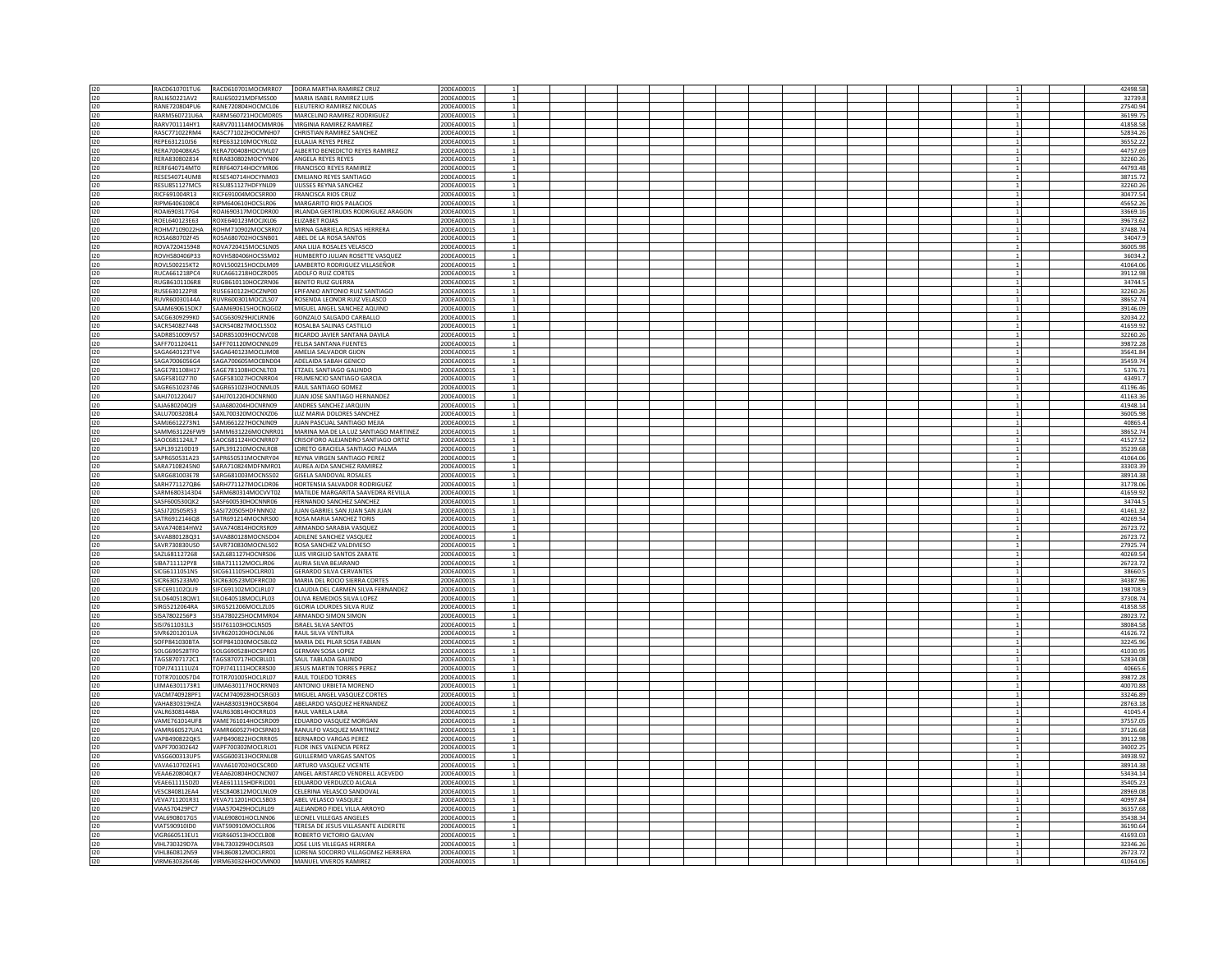| 120 | RACD610701TU6        | RACD610701MOCMRR07               | DORA MARTHA RAMIREZ CRUZ              | 20DEA0001S |                 |  |  |  |  |              |    | 42498.58 |
|-----|----------------------|----------------------------------|---------------------------------------|------------|-----------------|--|--|--|--|--------------|----|----------|
| 120 | RALI650221AV2        | RALI650221MDFMSS00               | MARIA ISABEL RAMIREZ LUIS             | 20DEA0001S |                 |  |  |  |  |              |    | 32739.8  |
| 120 | RANE720804PU6        | RANE720804HOCMCL06               | ELEUTERIO RAMIREZ NICOLAS             | 20DEA0001S |                 |  |  |  |  | $\mathbf{1}$ |    | 27540.94 |
|     |                      |                                  |                                       |            |                 |  |  |  |  |              |    |          |
| 120 | RARM560721U6A        | RARM560721HOCMDR05               | MARCELINO RAMIREZ RODRIGUEZ           | 20DEA0001S |                 |  |  |  |  |              |    | 36199.75 |
| 120 | RARV701114HY1        | RARV701114MOCMMR06               | VIRGINIA RAMIREZ RAMIREZ              | 20DEA0001S |                 |  |  |  |  |              |    | 41858.58 |
| 120 |                      | RASC771022RM4 RASC771022HOCMNH07 | CHRISTIAN RAMIREZ SANCHEZ             | 20DEA0001S | $\overline{1}$  |  |  |  |  | $\mathbf{1}$ |    | 52834.26 |
| 120 | REPE631210J56        | REPE631210MOCYRL02               | <b>EULALIA REYES PEREZ</b>            | 20DEA0001S |                 |  |  |  |  |              |    | 36552.22 |
|     |                      |                                  |                                       |            |                 |  |  |  |  |              |    |          |
| 120 | RERA700408KA5        | RERA700408HOCYML07               | ALBERTO BENEDICTO REYES RAMIREZ       | 20DEA0001S | $\mathbf{1}$    |  |  |  |  |              |    | 44757.69 |
| 120 | RERA830802814        | RERA830802MOCYYN06               | ANGELA REYES REYES                    | 20DEA0001S | $\overline{1}$  |  |  |  |  |              | 11 | 32260.26 |
| 120 | RERF640714MT0        | RERF640714HOCYMR06               | <b>FRANCISCO REYES RAMIREZ</b>        | 20DEA0001S |                 |  |  |  |  |              |    | 44793.48 |
|     | RESE540714UM8        | RESE540714HOCYNM03               | <b>EMILIANO REYES SANTIAGO</b>        | 20DEA0001S | $\overline{1}$  |  |  |  |  | $\mathbf{1}$ |    | 38715.72 |
| 120 |                      |                                  |                                       |            |                 |  |  |  |  |              |    |          |
| 120 | <b>RESU851127MC5</b> | RESU851127HDFYNL09               | ULISSES REYNA SANCHEZ                 | 20DEA0001S | $\overline{1}$  |  |  |  |  |              | 1  | 32260.26 |
| 120 | RICF691004R13        | RICF691004MOCSRR00               | <b>FRANCISCA RIOS CRUZ</b>            | 20DEA0001S |                 |  |  |  |  |              | 1  | 30477.54 |
| 120 | RIPM6406108C4        | RIPM640610HOCSLR06               | MARGARITO RIOS PALACIOS               | 20DEA0001S | $\overline{1}$  |  |  |  |  |              | 1  | 45652.26 |
|     |                      |                                  |                                       |            |                 |  |  |  |  |              |    |          |
| 120 | ROAI6903177G4        | ROAI690317MOCDRR00               | IRLANDA GERTRUDIS RODRIGUEZ ARAGON    | 20DEA0001S | <sup>1</sup>    |  |  |  |  |              | 1  | 33669.16 |
| 120 | ROEL640123E63        | ROXE640123MOCJXL06               | <b>ELIZABET ROJAS</b>                 | 20DEA0001S |                 |  |  |  |  |              |    | 39673.62 |
|     | ROHM7109022HA        | ROHM710902MOCSRR07               | MIRNA GABRIELA ROSAS HERRERA          | 20DEA0001S |                 |  |  |  |  |              |    | 37488.74 |
| 120 |                      |                                  |                                       |            |                 |  |  |  |  |              |    |          |
| 120 | ROSA680702F45        | ROSA680702HOCSNB01               | ABEL DE LA ROSA SANTOS                | 20DEA0001S |                 |  |  |  |  |              |    | 34047.9  |
| 120 | ROVA720415948        | ROVA720415MOCSLN05               | ANA LILIA ROSALES VELASCO             | 20DEA0001S |                 |  |  |  |  |              |    | 36005.98 |
| 120 | ROVH580406P33        | ROVH580406HOCSSM02               | HUMBERTO JULIAN ROSETTE VASQUEZ       | 20DEA0001S |                 |  |  |  |  |              |    | 36034.2  |
|     |                      |                                  |                                       |            |                 |  |  |  |  |              |    |          |
| 120 | ROVL500215KT2        | ROVL500215HOCDLM09               | LAMBERTO RODRIGUEZ VILLASEÑOR         | 20DEA0001S |                 |  |  |  |  |              |    | 41064.06 |
| 120 | RUCA661218PC4        | RUCA661218HOCZRD05               | ADOLFO RUIZ CORTES                    | 20DEA0001S |                 |  |  |  |  |              |    | 39112.98 |
| 120 | RUGB6101106R8        | RUGB610110HOCZRN06               | <b>BENITO RUIZ GUERRA</b>             | 20DEA0001S |                 |  |  |  |  |              |    | 34744.5  |
|     |                      |                                  |                                       |            |                 |  |  |  |  |              |    |          |
| 120 | RUSE630122PI8        | RUSE630122HOCZNP00               | EPIFANIO ANTONIO RUIZ SANTIAGO        | 20DEA0001S |                 |  |  |  |  |              |    | 32260.26 |
| 120 | RUVR60030144A        | RUVR600301MOCZLS07               | ROSENDA LEONOR RUIZ VELASCO           | 20DEA0001S |                 |  |  |  |  |              |    | 38652.74 |
| 120 | SAAM690615DK7        | SAAM690615HOCNQG02               | MIGUEL ANGEL SANCHEZ AQUINO           | 20DEA0001S |                 |  |  |  |  |              |    | 39146.09 |
| 120 | SACG6309299K0        | SACG630929HJCLRN06               | GONZALO SALGADO CARBALLO              | 20DEA0001S |                 |  |  |  |  |              |    | 32034.22 |
|     |                      |                                  |                                       |            |                 |  |  |  |  |              |    |          |
| 120 | SACR540827448        | SACR540827MOCLSS02               | ROSALBA SALINAS CASTILLO              | 20DEA0001S |                 |  |  |  |  |              |    | 41659.92 |
| 120 | SADR851009V57        | SADR851009HOCNVC08               | RICARDO IAVIER SANTANA DAVILA         | 20DEA0001S | $\overline{1}$  |  |  |  |  | $\mathbf{1}$ |    | 32260.26 |
| 120 | SAFF701120411        | SAFF701120MOCNNL09               | FELISA SANTANA FUENTES                | 20DEA0001S | 1               |  |  |  |  |              | 1  | 39872.28 |
|     |                      |                                  |                                       |            |                 |  |  |  |  |              |    |          |
| 120 | SAGA640123TV4        | SAGA640123MOCLJM08               | AMELIA SALVADOR GIJON                 | 20DEA0001S |                 |  |  |  |  |              |    | 35641.84 |
| 120 | SAGA7006056G4        | SAGA700605MOCBND04               | ADELAIDA SABAH GENICO                 | 20DEA0001S | $\overline{1}$  |  |  |  |  |              |    | 35459.74 |
| 120 | SAGE781108H17        | SAGE781108HOCNLT03               | ETZAEL SANTIAGO GALINDO               | 20DEA0001S | $1\overline{ }$ |  |  |  |  |              | 1  | 5376.71  |
| 120 | SAGF5810277I0        | SAGF581027HOCNRR04               | <b>FRUMENCIO SANTIAGO GARCIA</b>      | 20DEA0001S |                 |  |  |  |  |              |    | 43491.7  |
|     |                      |                                  |                                       |            |                 |  |  |  |  | -1.          |    |          |
| 120 | SAGR651023746        | SAGR651023HOCNML05               | RAUL SANTIAGO GOMEZ                   | 20DEA0001S | $\overline{1}$  |  |  |  |  |              |    | 41196.46 |
| 120 | SAHJ7012204J7        | SAHJ701220HOCNRN00               | JUAN JOSE SANTIAGO HERNANDEZ          | 20DEA0001S |                 |  |  |  |  |              |    | 41163.36 |
| 120 | SAJA680204Q19        | SAJA680204HOCNRN09               | ANDRES SANCHEZ JAROUIN                | 20DEA0001S |                 |  |  |  |  |              |    | 41948.14 |
|     |                      |                                  |                                       |            |                 |  |  |  |  |              |    |          |
| 120 | SALU7003208L4        | SAXL700320MOCNXZ06               | LUZ MARIA DOLORES SANCHEZ             | 20DEA0001S | $\overline{1}$  |  |  |  |  |              |    | 36005.98 |
| 120 | SAMJ6612273N1        | SAMJ661227HOCNJN09               | JUAN PASCUAL SANTIAGO MEJIA           | 20DEA0001S | $1\overline{ }$ |  |  |  |  |              | 1  | 40865.4  |
| 120 | SAMM631226FW9        | SAMM631226MOCNRR01               | MARINA MA DE LA LUZ SANTIAGO MARTINEZ | 20DEA0001S |                 |  |  |  |  |              |    | 38652.74 |
|     |                      |                                  |                                       |            |                 |  |  |  |  |              |    |          |
| 120 | SAOC681124JL7        | SAOC681124HOCNRR07               | CRISOFORO ALEJANDRO SANTIAGO ORTIZ    | 20DEA0001S |                 |  |  |  |  |              |    | 41527.52 |
| 120 | SAPL391210D19        | SAPL391210MOCNLR08               | LORETO GRACIELA SANTIAGO PALMA        | 20DEA0001S |                 |  |  |  |  |              |    | 35239.68 |
| 120 | SAPR650531A23        | SAPR650531MOCNRY04               | REYNA VIRGEN SANTIAGO PEREZ           | 20DEA0001S |                 |  |  |  |  |              |    | 41064.06 |
| 120 | SARA7108245N0        | SARA710824MDFNMR01               | AUREA AIDA SANCHEZ RAMIREZ            | 20DEA0001S |                 |  |  |  |  |              |    | 33303.39 |
|     |                      |                                  |                                       |            |                 |  |  |  |  |              |    |          |
| 120 | SARG681003E78        | SARG681003MOCNSS02               | <b>GISELA SANDOVAL ROSALES</b>        | 20DEA0001S |                 |  |  |  |  |              |    | 38914.38 |
| 120 | SARH771127QB6        | SARH771127MOCLDR06               | HORTENSIA SALVADOR RODRIGUEZ          | 20DEA0001S |                 |  |  |  |  |              |    | 31778.06 |
| 120 | SARM6803143D4        | SARM680314MOCVVT02               | MATILDE MARGARITA SAAVEDRA REVILLA    | 20DEA0001S |                 |  |  |  |  |              |    | 41659.92 |
|     |                      |                                  |                                       |            |                 |  |  |  |  |              |    |          |
| 120 | SASF600530QK2        | SASF600530HOCNNR06               | FERNANDO SANCHEZ SANCHEZ              | 20DEA0001S |                 |  |  |  |  |              |    | 34744.5  |
| 120 | SASI720505R53        | SASJ720505HDFNNN02               | JUAN GABRIEL SAN JUAN SAN JUAN        | 20DEA0001S |                 |  |  |  |  |              |    | 41461.32 |
| 120 | SATR6912146Q8        | SATR691214MOCNRS00               | ROSA MARIA SANCHEZ TORIS              | 20DEA0001S |                 |  |  |  |  |              |    | 40269.54 |
|     |                      |                                  |                                       |            |                 |  |  |  |  |              |    |          |
| 120 | SAVA740814HW2        | SAVA740814HOCRSR09               | ARMANDO SARABIA VASQUEZ               | 20DEA0001S |                 |  |  |  |  |              |    | 26723.72 |
| 120 | SAVA880128Q31        | SAVA880128MOCNSD04               | ADILENE SANCHEZ VASQUEZ               | 20DEA0001S | $\overline{1}$  |  |  |  |  |              | 1  | 26723.72 |
| 120 | SAVR730830US0        | SAVR730830MOCNLS02               | ROSA SANCHEZ VALDIVIESO               | 20DEA0001S |                 |  |  |  |  |              | 1  | 27925.74 |
|     |                      | SAZL681127HOCNRS06               | LUIS VIRGILIO SANTOS ZARATE           |            |                 |  |  |  |  |              |    | 40269.54 |
| 120 | SAZL681127268        |                                  |                                       | 20DEA0001S |                 |  |  |  |  |              |    |          |
| 120 | SIBA711112PY8        | SIBA711112MOCLIR06               | AURIA SILVA BEJARANO                  | 20DEA0001S |                 |  |  |  |  |              |    | 26723.72 |
| 120 | SICG6111051N5        | SICG611105HOCLRR01               | <b>GERARDO SILVA CERVANTES</b>        | 20DEA0001S |                 |  |  |  |  |              |    | 38660.5  |
| 120 | SICR6305233M0        | SICR630523MDFRRC00               | MARIA DEL ROCIO SIERRA CORTES         | 20DEA0001S |                 |  |  |  |  |              |    | 34387.96 |
|     |                      |                                  |                                       |            |                 |  |  |  |  |              |    |          |
| 120 | SIEC6911020U9        | SIEC691102MOCLBL07               | CLAUDIA DEL CARMEN SILVA FERNANDEZ    | 20DEA0001S | $\overline{1}$  |  |  |  |  |              | 11 | 198708.9 |
| 120 | SILO640518QW1        | SILO640518MOCLPL03               | OLIVA REMEDIOS SILVA LOPEZ            | 20DEA0001S |                 |  |  |  |  |              |    | 37308.74 |
| 120 | SIRG5212064RA        | SIRG521206MOCLZL05               | <b>GLORIA LOURDES SILVA RUIZ</b>      | 20DEA0001S | $\mathbf{1}$    |  |  |  |  |              |    | 41858.58 |
| 120 | SISA7802256P3        | SISA780225HOCMMR04               | ARMANDO SIMON SIMON                   | 20DEA0001S | $\overline{1}$  |  |  |  |  |              | 11 | 28023.72 |
|     |                      |                                  |                                       |            |                 |  |  |  |  |              |    |          |
| 120 | SISI7611031L3        | SISI761103HOCLNS05               | <b>ISRAEL SILVA SANTOS</b>            | 20DEA0001S |                 |  |  |  |  |              |    | 38084.58 |
| 120 | SIVR6201201UA        | SIVR620120HOCLNL06               | RAUL SILVA VENTURA                    | 20DEA0001S | $\overline{1}$  |  |  |  |  |              | 1  | 41626.72 |
| 120 | SOFP841030BTA        | SOFP841030MOCSBL02               | MARIA DEL PILAR SOSA FABIAN           | 20DEA0001S |                 |  |  |  |  |              |    | 32245.96 |
|     |                      |                                  |                                       |            |                 |  |  |  |  |              |    |          |
| 120 | SOLG690528TF0        | SOLG690528HOCSPR03               | <b>GERMAN SOSA LOPEZ</b>              | 20DEA0001S |                 |  |  |  |  |              |    | 41030.95 |
| 120 | TAGS8707172C1        | TAGS870717HOCBLL01               | SAUL TABLADA GALINDO                  | 20DEA0001S |                 |  |  |  |  |              |    | 52834.08 |
| 120 | TOPJ741111UZ4        | TOPJ741111HOCRRS00               | JESUS MARTIN TORRES PEREZ             | 20DEA0001S |                 |  |  |  |  |              |    | 40665.6  |
|     | TOTR7010057D4        |                                  |                                       | 20DEA0001S |                 |  |  |  |  |              |    | 39872.28 |
| 120 |                      | TOTR701005HOCLRL07               | RAUL TOLEDO TORRES                    |            |                 |  |  |  |  |              |    |          |
| 120 | UIMA6301173R1        | UIMA630117HOCRRN03               | ANTONIO URBIETA MORENO                | 20DEA0001S |                 |  |  |  |  |              |    | 40070.88 |
| 120 | VACM740928PF1        | VACM740928HOCSRG03               | MIGUEL ANGEL VASQUEZ CORTES           | 20DEA0001S |                 |  |  |  |  |              |    | 33246.89 |
| 120 | VAHA830319HZA        | VAHA830319HOCSRB04               | ABELARDO VASQUEZ HERNANDEZ            | 20DEA0001S |                 |  |  |  |  |              |    | 28763.18 |
|     |                      |                                  |                                       |            |                 |  |  |  |  |              |    |          |
| 120 | VALR63081448A        | VALR630814HOCRRL03               | RAUL VARELA LARA                      | 20DEA0001S |                 |  |  |  |  |              |    | 41045.4  |
| 120 | VAME761014UF8        | VAME761014HOCSRD09               | EDUARDO VASQUEZ MORGAN                | 20DEA0001S |                 |  |  |  |  |              |    | 37557.05 |
| 120 | VAMR660527UA1        | VAMR660527HOCSRN03               | RANULFO VASQUEZ MARTINEZ              | 20DEA0001S |                 |  |  |  |  |              |    | 37126.68 |
|     | VAPB490822QK5        | VAPR490822HOCRRR05               | BERNARDO VARGAS PEREZ                 | 20DEA0001S | $\overline{1}$  |  |  |  |  |              |    | 39112.98 |
| 120 |                      |                                  |                                       |            |                 |  |  |  |  |              |    |          |
| 120 | VAPF700302642        | VAPF700302MOCLRL01               | FLOR INES VALENCIA PEREZ              | 20DEA0001S | $\mathbf{1}$    |  |  |  |  |              |    | 34002.25 |
| 120 | VASG600313UP5        | VASG600313HOCRNL08               | <b>GUILLERMO VARGAS SANTOS</b>        | 20DEA0001S |                 |  |  |  |  |              |    | 34938.92 |
| 120 | VAVA610702FH1        | VAVA610702HOCSCR00               | ARTURO VASOUEZ VICENTE                | 20DEA0001S | $\overline{1}$  |  |  |  |  |              |    | 38914.38 |
|     |                      |                                  |                                       |            |                 |  |  |  |  |              |    |          |
| 120 | VEAA620804QK7        | VEAA620804HOCNCN07               | ANGEL ARISTARCO VENDRELL ACEVEDO      | 20DEA0001S | $1\overline{ }$ |  |  |  |  |              | 1  | 53434.14 |
| 120 | VEAE611115DZ0        | VEAE611115HDFRLD01               | EDUARDO VERDUZCO ALCALA               | 20DEA0001S |                 |  |  |  |  |              |    | 35405.23 |
| 120 | VESC840812FA4        | VESC840812MOCLNL09               | CELERINA VELASCO SANDOVAL             | 20DEA0001S | $\overline{1}$  |  |  |  |  |              |    | 28969.08 |
| 120 | VEVA711201R31        | VEVA711201HOCLSB03               | ABEL VELASCO VASQUEZ                  | 20DEA0001S | $1\overline{ }$ |  |  |  |  |              | 1  | 40997.84 |
|     |                      |                                  |                                       |            |                 |  |  |  |  |              |    |          |
| 120 | VIAA570429PC7        | VIAA570429HOCLRL09               | ALEJANDRO FIDEL VILLA ARROYO          | 20DEA0001S |                 |  |  |  |  | -1.          |    | 36357.68 |
| 120 | VIAL6908017G5        | VIAL690801HOCLNN06               | LEONEL VILLEGAS ANGELES               | 20DEA0001S | $\overline{1}$  |  |  |  |  |              |    | 35438.34 |
| 120 | VIAT590910ID0        | VIAT590910MOCLLR06               | TERESA DE JESUS VILLASANTE ALDERETE   | 20DEA0001S |                 |  |  |  |  |              |    | 36190.64 |
| 120 | VIGR660513FU1        | <b><i>VIGR660513HOCCLB08</i></b> | ROBERTO VICTORIO GALVAN               | 20DEA0001S |                 |  |  |  |  |              |    | 41693.03 |
| 120 | VIHL730329D7A        | VIHL730329HOCLRS03               | JOSE LUIS VILLEGAS HERRERA            | 20DEA0001S |                 |  |  |  |  |              |    | 32346.26 |
|     |                      |                                  |                                       |            |                 |  |  |  |  |              |    |          |
| 120 | VIHL860812N59        | VIHL860812MOCLRR01               | LORENA SOCORRO VILLAGOMEZ HERRERA     | 20DEA0001S |                 |  |  |  |  |              |    | 26723.72 |
| 120 | VIRM630326K46        | VIRM630326HOCVMN00               | MANUEL VIVEROS RAMIREZ                | 20DEA0001S |                 |  |  |  |  |              |    | 41064.06 |